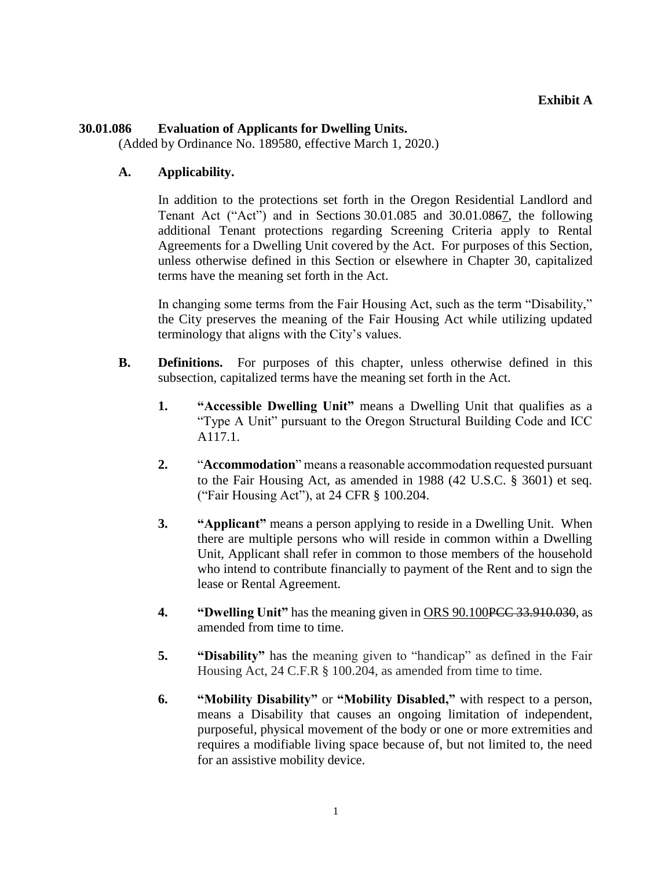### **30.01.086 Evaluation of Applicants for Dwelling Units.**

(Added by Ordinance No. 189580, effective March 1, 2020.)

### **A. Applicability.**

In addition to the protections set forth in the Oregon Residential Landlord and Tenant Act ("Act") and in Sections 30.01.085 and 30.01.0867, the following additional Tenant protections regarding Screening Criteria apply to Rental Agreements for a Dwelling Unit covered by the Act. For purposes of this Section, unless otherwise defined in this Section or elsewhere in Chapter 30, capitalized terms have the meaning set forth in the Act.

In changing some terms from the Fair Housing Act, such as the term "Disability," the City preserves the meaning of the Fair Housing Act while utilizing updated terminology that aligns with the City's values.

- **B. Definitions.** For purposes of this chapter, unless otherwise defined in this subsection, capitalized terms have the meaning set forth in the Act.
	- **1. "Accessible Dwelling Unit"** means a Dwelling Unit that qualifies as a "Type A Unit" pursuant to the Oregon Structural Building Code and ICC A117.1.
	- **2.** "**Accommodation**" means a reasonable accommodation requested pursuant to the Fair Housing Act, as amended in 1988 (42 U.S.C. § 3601) et seq. ("Fair Housing Act"), at 24 CFR § 100.204.
	- **3. "Applicant"** means a person applying to reside in a Dwelling Unit. When there are multiple persons who will reside in common within a Dwelling Unit, Applicant shall refer in common to those members of the household who intend to contribute financially to payment of the Rent and to sign the lease or Rental Agreement.
	- **4. "Dwelling Unit"** has the meaning given in ORS 90.100PCC 33.910.030, as amended from time to time.
	- **5. "Disability"** has the meaning given to "handicap" as defined in the Fair Housing Act, 24 C.F.R § 100.204, as amended from time to time.
	- **6. "Mobility Disability"** or **"Mobility Disabled,"** with respect to a person, means a Disability that causes an ongoing limitation of independent, purposeful, physical movement of the body or one or more extremities and requires a modifiable living space because of, but not limited to, the need for an assistive mobility device.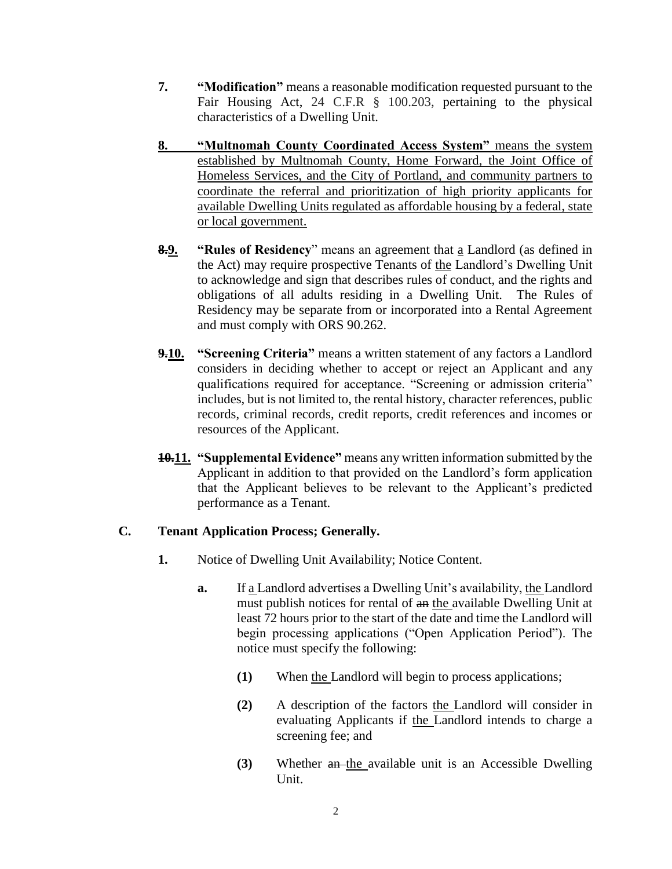- **7. "Modification"** means a reasonable modification requested pursuant to the Fair Housing Act, 24 C.F.R § 100.203, pertaining to the physical characteristics of a Dwelling Unit.
- **8. "Multnomah County Coordinated Access System"** means the system established by Multnomah County, Home Forward, the Joint Office of Homeless Services, and the City of Portland, and community partners to coordinate the referral and prioritization of high priority applicants for available Dwelling Units regulated as affordable housing by a federal, state or local government.
- **8.9. "Rules of Residency**" means an agreement that a Landlord (as defined in the Act) may require prospective Tenants of the Landlord's Dwelling Unit to acknowledge and sign that describes rules of conduct, and the rights and obligations of all adults residing in a Dwelling Unit. The Rules of Residency may be separate from or incorporated into a Rental Agreement and must comply with ORS 90.262.
- **9.10. "Screening Criteria"** means a written statement of any factors a Landlord considers in deciding whether to accept or reject an Applicant and any qualifications required for acceptance. "Screening or admission criteria" includes, but is not limited to, the rental history, character references, public records, criminal records, credit reports, credit references and incomes or resources of the Applicant.
- **10.11. "Supplemental Evidence"** means any written information submitted by the Applicant in addition to that provided on the Landlord's form application that the Applicant believes to be relevant to the Applicant's predicted performance as a Tenant.

# **C. Tenant Application Process; Generally.**

- **1.** Notice of Dwelling Unit Availability; Notice Content.
	- **a.** If a Landlord advertises a Dwelling Unit's availability, the Landlord must publish notices for rental of an the available Dwelling Unit at least 72 hours prior to the start of the date and time the Landlord will begin processing applications ("Open Application Period"). The notice must specify the following:
		- **(1)** When the Landlord will begin to process applications;
		- **(2)** A description of the factors the Landlord will consider in evaluating Applicants if the Landlord intends to charge a screening fee; and
		- **(3)** Whether an the available unit is an Accessible Dwelling Unit.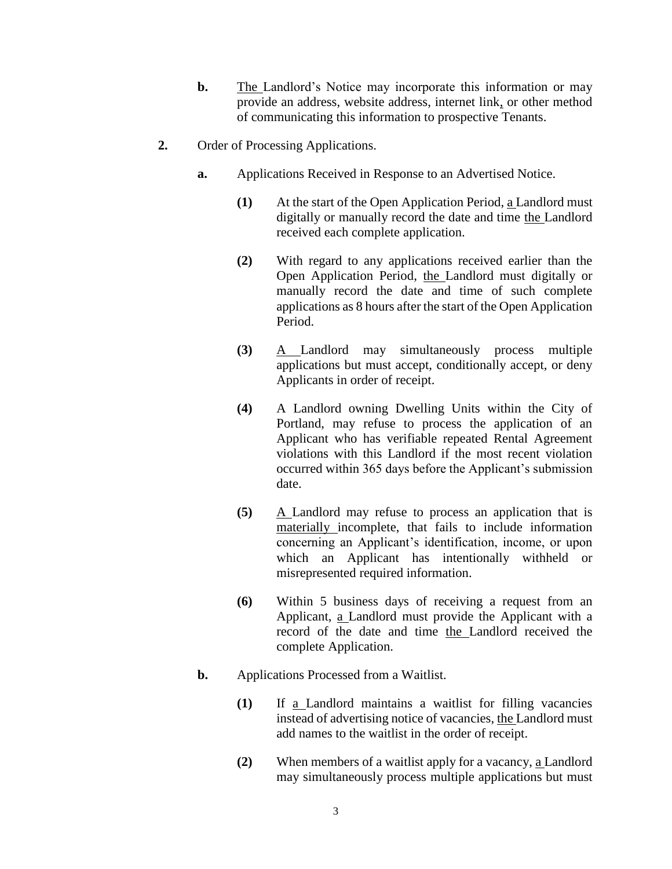- **b.** The Landlord's Notice may incorporate this information or may provide an address, website address, internet link, or other method of communicating this information to prospective Tenants.
- **2.** Order of Processing Applications.
	- **a.** Applications Received in Response to an Advertised Notice.
		- **(1)** At the start of the Open Application Period, a Landlord must digitally or manually record the date and time the Landlord received each complete application.
		- **(2)** With regard to any applications received earlier than the Open Application Period, the Landlord must digitally or manually record the date and time of such complete applications as 8 hours after the start of the Open Application Period.
		- **(3)** A Landlord may simultaneously process multiple applications but must accept, conditionally accept, or deny Applicants in order of receipt.
		- **(4)** A Landlord owning Dwelling Units within the City of Portland, may refuse to process the application of an Applicant who has verifiable repeated Rental Agreement violations with this Landlord if the most recent violation occurred within 365 days before the Applicant's submission date.
		- **(5)** A Landlord may refuse to process an application that is materially incomplete, that fails to include information concerning an Applicant's identification, income, or upon which an Applicant has intentionally withheld or misrepresented required information.
		- **(6)** Within 5 business days of receiving a request from an Applicant, a Landlord must provide the Applicant with a record of the date and time the Landlord received the complete Application.
	- **b.** Applications Processed from a Waitlist.
		- **(1)** If a Landlord maintains a waitlist for filling vacancies instead of advertising notice of vacancies, the Landlord must add names to the waitlist in the order of receipt.
		- **(2)** When members of a waitlist apply for a vacancy, a Landlord may simultaneously process multiple applications but must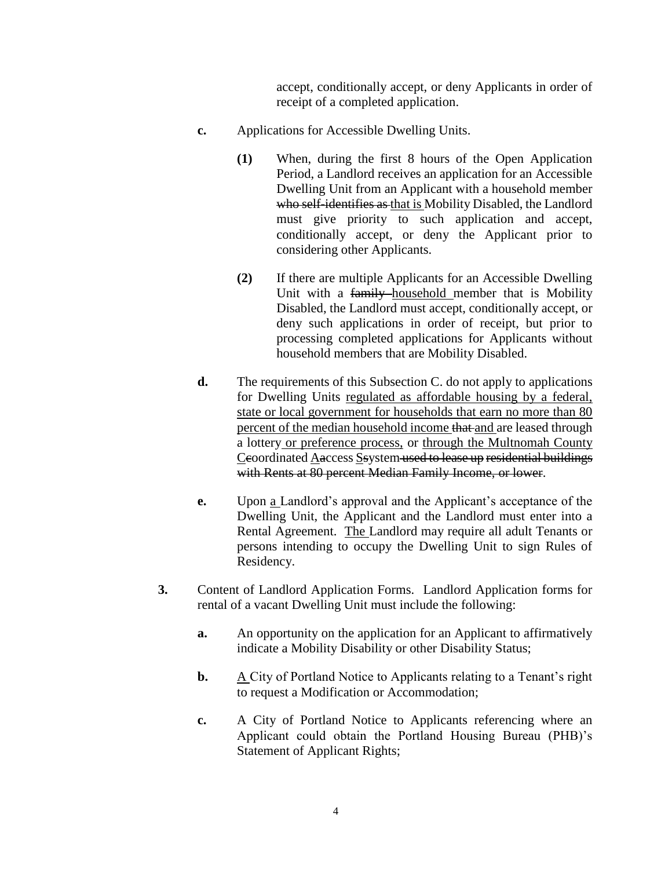accept, conditionally accept, or deny Applicants in order of receipt of a completed application.

- **c.** Applications for Accessible Dwelling Units.
	- **(1)** When, during the first 8 hours of the Open Application Period, a Landlord receives an application for an Accessible Dwelling Unit from an Applicant with a household member who self-identifies as that is Mobility Disabled, the Landlord must give priority to such application and accept, conditionally accept, or deny the Applicant prior to considering other Applicants.
	- **(2)** If there are multiple Applicants for an Accessible Dwelling Unit with a family household member that is Mobility Disabled, the Landlord must accept, conditionally accept, or deny such applications in order of receipt, but prior to processing completed applications for Applicants without household members that are Mobility Disabled.
- **d.** The requirements of this Subsection C. do not apply to applications for Dwelling Units regulated as affordable housing by a federal, state or local government for households that earn no more than 80 percent of the median household income that and are leased through a lottery or preference process, or through the Multnomah County Ceoordinated Aaccess Ssystem used to lease up residential buildings with Rents at 80 percent Median Family Income, or lower.
- **e.** Upon a Landlord's approval and the Applicant's acceptance of the Dwelling Unit, the Applicant and the Landlord must enter into a Rental Agreement. The Landlord may require all adult Tenants or persons intending to occupy the Dwelling Unit to sign Rules of Residency.
- **3.** Content of Landlord Application Forms. Landlord Application forms for rental of a vacant Dwelling Unit must include the following:
	- **a.** An opportunity on the application for an Applicant to affirmatively indicate a Mobility Disability or other Disability Status;
	- **b.** A City of Portland Notice to Applicants relating to a Tenant's right to request a Modification or Accommodation;
	- **c.** A City of Portland Notice to Applicants referencing where an Applicant could obtain the Portland Housing Bureau (PHB)'s Statement of Applicant Rights;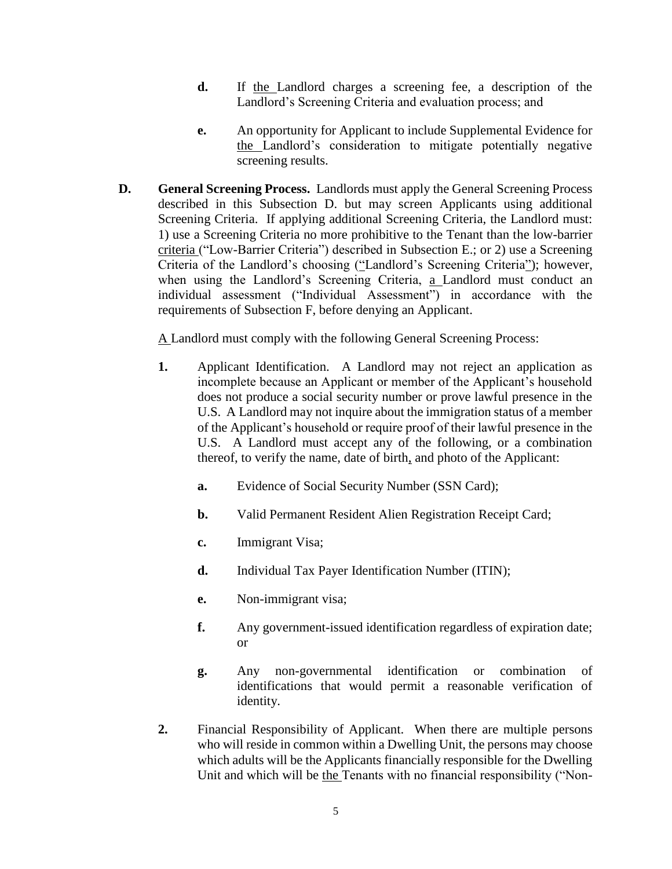- **d.** If the Landlord charges a screening fee, a description of the Landlord's Screening Criteria and evaluation process; and
- **e.** An opportunity for Applicant to include Supplemental Evidence for the Landlord's consideration to mitigate potentially negative screening results.
- **D. General Screening Process.** Landlords must apply the General Screening Process described in this Subsection D. but may screen Applicants using additional Screening Criteria. If applying additional Screening Criteria, the Landlord must: 1) use a Screening Criteria no more prohibitive to the Tenant than the low-barrier criteria ("Low-Barrier Criteria") described in Subsection E.; or 2) use a Screening Criteria of the Landlord's choosing ("Landlord's Screening Criteria"); however, when using the Landlord's Screening Criteria, a Landlord must conduct an individual assessment ("Individual Assessment") in accordance with the requirements of Subsection F, before denying an Applicant.

A Landlord must comply with the following General Screening Process:

- **1.** Applicant Identification. A Landlord may not reject an application as incomplete because an Applicant or member of the Applicant's household does not produce a social security number or prove lawful presence in the U.S. A Landlord may not inquire about the immigration status of a member of the Applicant's household or require proof of their lawful presence in the U.S. A Landlord must accept any of the following, or a combination thereof, to verify the name, date of birth, and photo of the Applicant:
	- **a.** Evidence of Social Security Number (SSN Card);
	- **b.** Valid Permanent Resident Alien Registration Receipt Card;
	- **c.** Immigrant Visa;
	- **d.** Individual Tax Payer Identification Number (ITIN);
	- **e.** Non-immigrant visa;
	- **f.** Any government-issued identification regardless of expiration date; or
	- **g.** Any non-governmental identification or combination of identifications that would permit a reasonable verification of identity.
- **2.** Financial Responsibility of Applicant.When there are multiple persons who will reside in common within a Dwelling Unit, the persons may choose which adults will be the Applicants financially responsible for the Dwelling Unit and which will be the Tenants with no financial responsibility ("Non-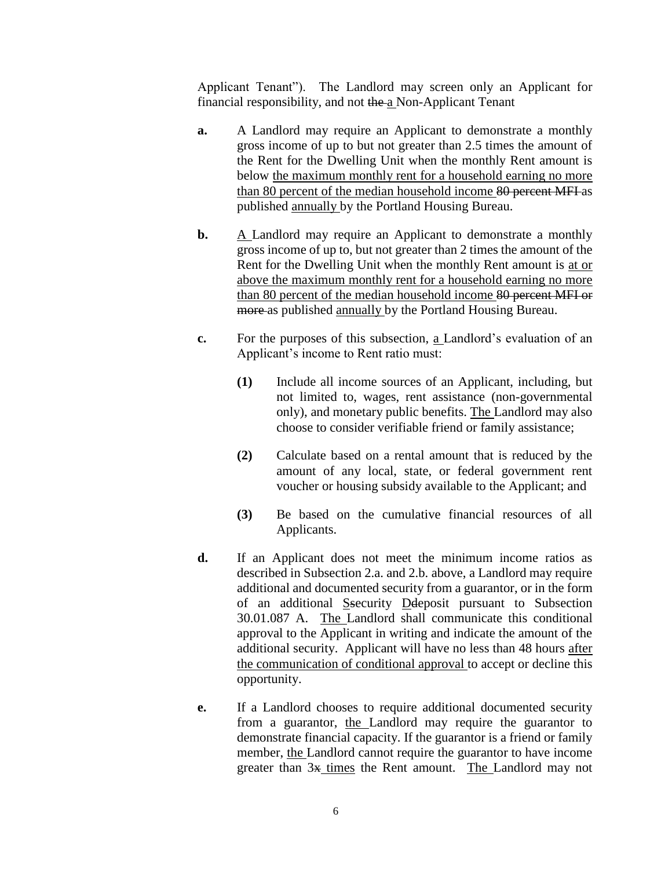Applicant Tenant"). The Landlord may screen only an Applicant for financial responsibility, and not the a Non-Applicant Tenant

- **a.** A Landlord may require an Applicant to demonstrate a monthly gross income of up to but not greater than 2.5 times the amount of the Rent for the Dwelling Unit when the monthly Rent amount is below the maximum monthly rent for a household earning no more than 80 percent of the median household income 80 percent MFI as published annually by the Portland Housing Bureau.
- **b.** A Landlord may require an Applicant to demonstrate a monthly gross income of up to, but not greater than 2 times the amount of the Rent for the Dwelling Unit when the monthly Rent amount is at or above the maximum monthly rent for a household earning no more than 80 percent of the median household income 80 percent MFI or more as published annually by the Portland Housing Bureau.
- **c.** For the purposes of this subsection, a Landlord's evaluation of an Applicant's income to Rent ratio must:
	- **(1)** Include all income sources of an Applicant, including, but not limited to, wages, rent assistance (non-governmental only), and monetary public benefits. The Landlord may also choose to consider verifiable friend or family assistance;
	- **(2)** Calculate based on a rental amount that is reduced by the amount of any local, state, or federal government rent voucher or housing subsidy available to the Applicant; and
	- **(3)** Be based on the cumulative financial resources of all Applicants.
- **d.** If an Applicant does not meet the minimum income ratios as described in Subsection 2.a. and 2.b. above, a Landlord may require additional and documented security from a guarantor, or in the form of an additional Ssecurity Ddeposit pursuant to Subsection 30.01.087 A. The Landlord shall communicate this conditional approval to the Applicant in writing and indicate the amount of the additional security. Applicant will have no less than 48 hours after the communication of conditional approval to accept or decline this opportunity.
- **e.** If a Landlord chooses to require additional documented security from a guarantor, the Landlord may require the guarantor to demonstrate financial capacity. If the guarantor is a friend or family member, the Landlord cannot require the guarantor to have income greater than  $3x$  times the Rent amount. The Landlord may not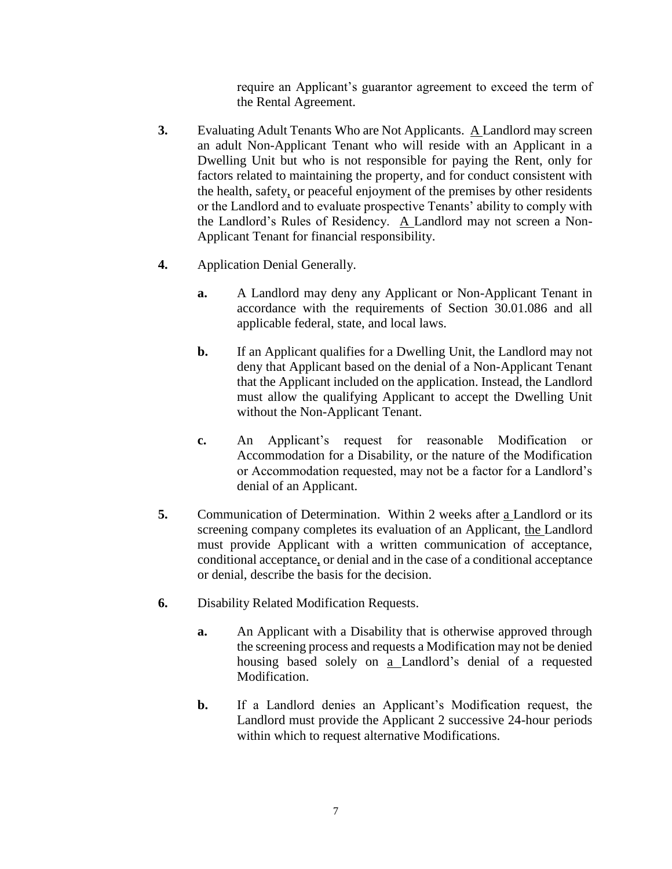require an Applicant's guarantor agreement to exceed the term of the Rental Agreement.

- **3.** Evaluating Adult Tenants Who are Not Applicants. A Landlord may screen an adult Non-Applicant Tenant who will reside with an Applicant in a Dwelling Unit but who is not responsible for paying the Rent, only for factors related to maintaining the property, and for conduct consistent with the health, safety, or peaceful enjoyment of the premises by other residents or the Landlord and to evaluate prospective Tenants' ability to comply with the Landlord's Rules of Residency. A Landlord may not screen a Non-Applicant Tenant for financial responsibility.
- **4.** Application Denial Generally.
	- **a.** A Landlord may deny any Applicant or Non-Applicant Tenant in accordance with the requirements of Section 30.01.086 and all applicable federal, state, and local laws.
	- **b.** If an Applicant qualifies for a Dwelling Unit, the Landlord may not deny that Applicant based on the denial of a Non-Applicant Tenant that the Applicant included on the application. Instead, the Landlord must allow the qualifying Applicant to accept the Dwelling Unit without the Non-Applicant Tenant.
	- **c.** An Applicant's request for reasonable Modification or Accommodation for a Disability, or the nature of the Modification or Accommodation requested, may not be a factor for a Landlord's denial of an Applicant.
- **5.** Communication of Determination.Within 2 weeks after a Landlord or its screening company completes its evaluation of an Applicant, the Landlord must provide Applicant with a written communication of acceptance, conditional acceptance, or denial and in the case of a conditional acceptance or denial, describe the basis for the decision.
- **6.** Disability Related Modification Requests.
	- **a.** An Applicant with a Disability that is otherwise approved through the screening process and requests a Modification may not be denied housing based solely on a Landlord's denial of a requested Modification.
	- **b.** If a Landlord denies an Applicant's Modification request, the Landlord must provide the Applicant 2 successive 24-hour periods within which to request alternative Modifications.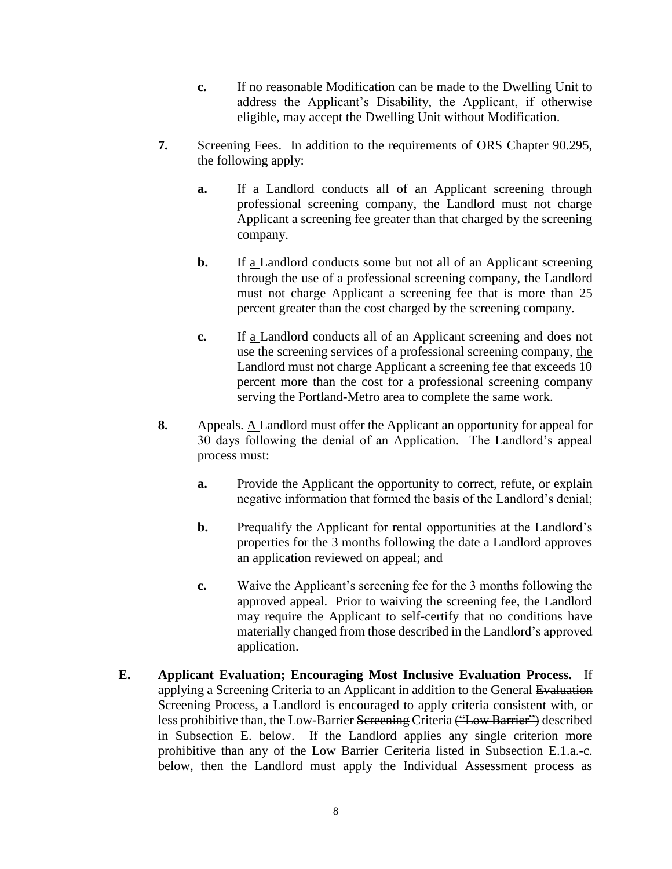- **c.** If no reasonable Modification can be made to the Dwelling Unit to address the Applicant's Disability, the Applicant, if otherwise eligible, may accept the Dwelling Unit without Modification.
- **7.** Screening Fees.In addition to the requirements of ORS Chapter 90.295, the following apply:
	- **a.** If a Landlord conducts all of an Applicant screening through professional screening company, the Landlord must not charge Applicant a screening fee greater than that charged by the screening company.
	- **b.** If a Landlord conducts some but not all of an Applicant screening through the use of a professional screening company, the Landlord must not charge Applicant a screening fee that is more than 25 percent greater than the cost charged by the screening company.
	- **c.** If a Landlord conducts all of an Applicant screening and does not use the screening services of a professional screening company, the Landlord must not charge Applicant a screening fee that exceeds 10 percent more than the cost for a professional screening company serving the Portland-Metro area to complete the same work.
- **8.** Appeals. A Landlord must offer the Applicant an opportunity for appeal for 30 days following the denial of an Application. The Landlord's appeal process must:
	- **a.** Provide the Applicant the opportunity to correct, refute, or explain negative information that formed the basis of the Landlord's denial;
	- **b.** Prequalify the Applicant for rental opportunities at the Landlord's properties for the 3 months following the date a Landlord approves an application reviewed on appeal; and
	- **c.** Waive the Applicant's screening fee for the 3 months following the approved appeal. Prior to waiving the screening fee, the Landlord may require the Applicant to self-certify that no conditions have materially changed from those described in the Landlord's approved application.
- **E. Applicant Evaluation; Encouraging Most Inclusive Evaluation Process.** If applying a Screening Criteria to an Applicant in addition to the General Evaluation Screening Process, a Landlord is encouraged to apply criteria consistent with, or less prohibitive than, the Low-Barrier Screening Criteria ("Low Barrier") described in Subsection E. below. If the Landlord applies any single criterion more prohibitive than any of the Low Barrier Ceriteria listed in Subsection E.1.a.-c. below, then the Landlord must apply the Individual Assessment process as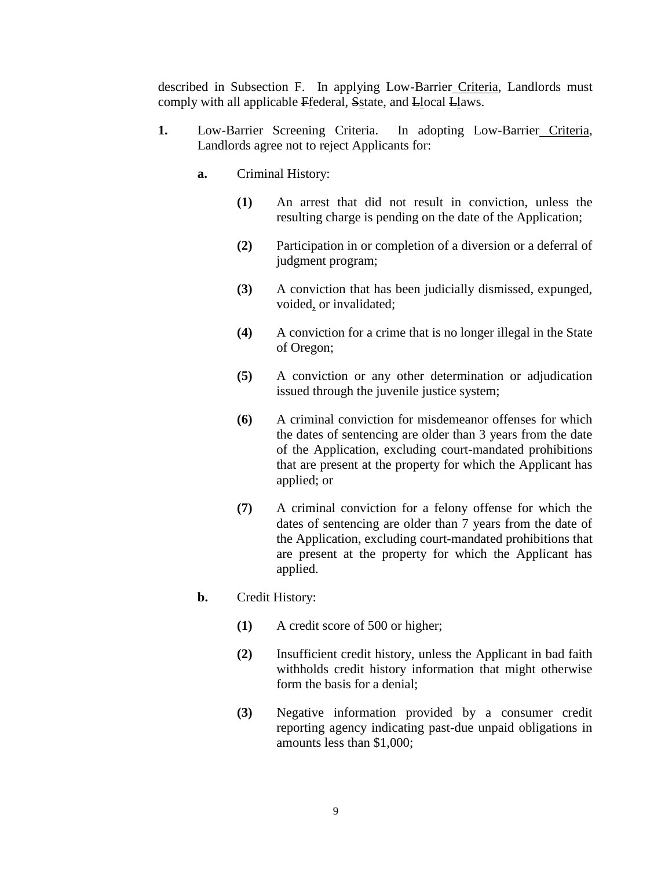described in Subsection F. In applying Low-Barrier Criteria, Landlords must comply with all applicable Ffederal, Sstate, and Llocal Llaws.

- **1.** Low-Barrier Screening Criteria. In adopting Low-Barrier Criteria, Landlords agree not to reject Applicants for:
	- **a.** Criminal History:
		- **(1)** An arrest that did not result in conviction, unless the resulting charge is pending on the date of the Application;
		- **(2)** Participation in or completion of a diversion or a deferral of judgment program;
		- **(3)** A conviction that has been judicially dismissed, expunged, voided, or invalidated;
		- **(4)** A conviction for a crime that is no longer illegal in the State of Oregon;
		- **(5)** A conviction or any other determination or adjudication issued through the juvenile justice system;
		- **(6)** A criminal conviction for misdemeanor offenses for which the dates of sentencing are older than 3 years from the date of the Application, excluding court-mandated prohibitions that are present at the property for which the Applicant has applied; or
		- **(7)** A criminal conviction for a felony offense for which the dates of sentencing are older than 7 years from the date of the Application, excluding court-mandated prohibitions that are present at the property for which the Applicant has applied.
	- **b.** Credit History:
		- **(1)** A credit score of 500 or higher;
		- **(2)** Insufficient credit history, unless the Applicant in bad faith withholds credit history information that might otherwise form the basis for a denial;
		- **(3)** Negative information provided by a consumer credit reporting agency indicating past-due unpaid obligations in amounts less than \$1,000;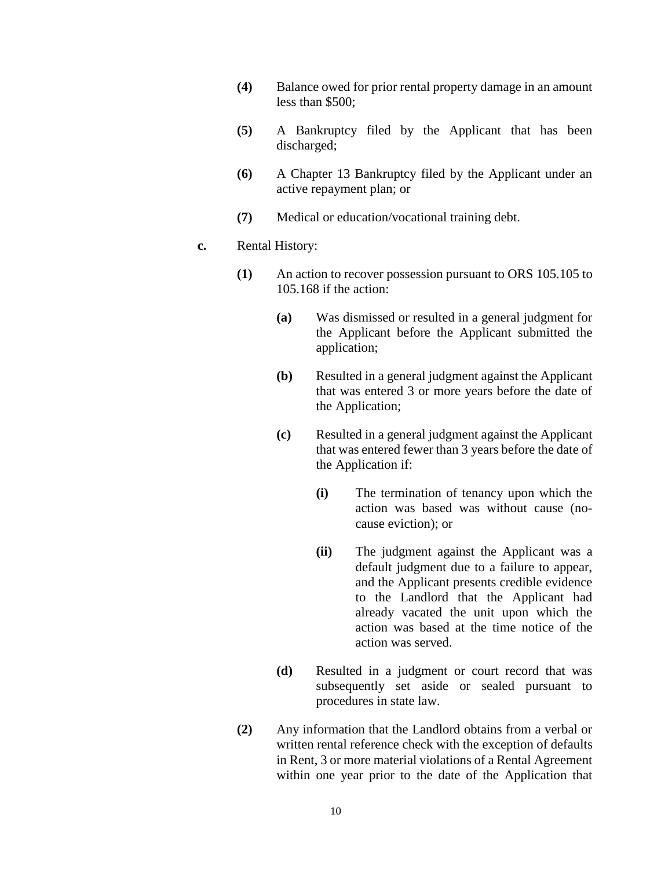- **(4)** Balance owed for prior rental property damage in an amount less than \$500;
- **(5)** A Bankruptcy filed by the Applicant that has been discharged;
- **(6)** A Chapter 13 Bankruptcy filed by the Applicant under an active repayment plan; or
- **(7)** Medical or education/vocational training debt.

### **c.** Rental History:

- **(1)** An action to recover possession pursuant to ORS 105.105 to 105.168 if the action:
	- **(a)** Was dismissed or resulted in a general judgment for the Applicant before the Applicant submitted the application;
	- **(b)** Resulted in a general judgment against the Applicant that was entered 3 or more years before the date of the Application;
	- **(c)** Resulted in a general judgment against the Applicant that was entered fewer than 3 years before the date of the Application if:
		- **(i)** The termination of tenancy upon which the action was based was without cause (nocause eviction); or
		- **(ii)** The judgment against the Applicant was a default judgment due to a failure to appear, and the Applicant presents credible evidence to the Landlord that the Applicant had already vacated the unit upon which the action was based at the time notice of the action was served.
	- **(d)** Resulted in a judgment or court record that was subsequently set aside or sealed pursuant to procedures in state law.
- **(2)** Any information that the Landlord obtains from a verbal or written rental reference check with the exception of defaults in Rent, 3 or more material violations of a Rental Agreement within one year prior to the date of the Application that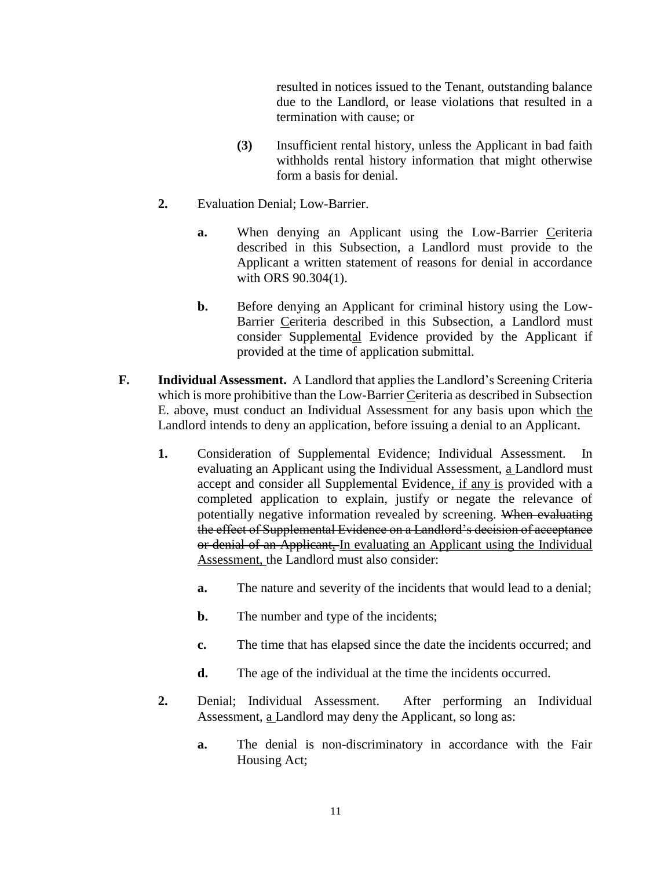resulted in notices issued to the Tenant, outstanding balance due to the Landlord, or lease violations that resulted in a termination with cause; or

- **(3)** Insufficient rental history, unless the Applicant in bad faith withholds rental history information that might otherwise form a basis for denial.
- **2.** Evaluation Denial; Low-Barrier.
	- **a.** When denying an Applicant using the Low-Barrier Ceriteria described in this Subsection, a Landlord must provide to the Applicant a written statement of reasons for denial in accordance with ORS 90.304(1).
	- **b.** Before denying an Applicant for criminal history using the Low-Barrier Ceriteria described in this Subsection, a Landlord must consider Supplemental Evidence provided by the Applicant if provided at the time of application submittal.
- **F. Individual Assessment.** A Landlord that applies the Landlord's Screening Criteria which is more prohibitive than the Low-Barrier Ceriteria as described in Subsection E. above, must conduct an Individual Assessment for any basis upon which the Landlord intends to deny an application, before issuing a denial to an Applicant.
	- **1.** Consideration of Supplemental Evidence; Individual Assessment.In evaluating an Applicant using the Individual Assessment, a Landlord must accept and consider all Supplemental Evidence, if any is provided with a completed application to explain, justify or negate the relevance of potentially negative information revealed by screening. When evaluating the effect of Supplemental Evidence on a Landlord's decision of acceptance or denial of an Applicant, In evaluating an Applicant using the Individual Assessment, the Landlord must also consider:
		- **a.** The nature and severity of the incidents that would lead to a denial;
		- **b.** The number and type of the incidents;
		- **c.** The time that has elapsed since the date the incidents occurred; and
		- **d.** The age of the individual at the time the incidents occurred.
	- **2.** Denial; Individual Assessment. After performing an Individual Assessment, a Landlord may deny the Applicant, so long as:
		- **a.** The denial is non-discriminatory in accordance with the Fair Housing Act;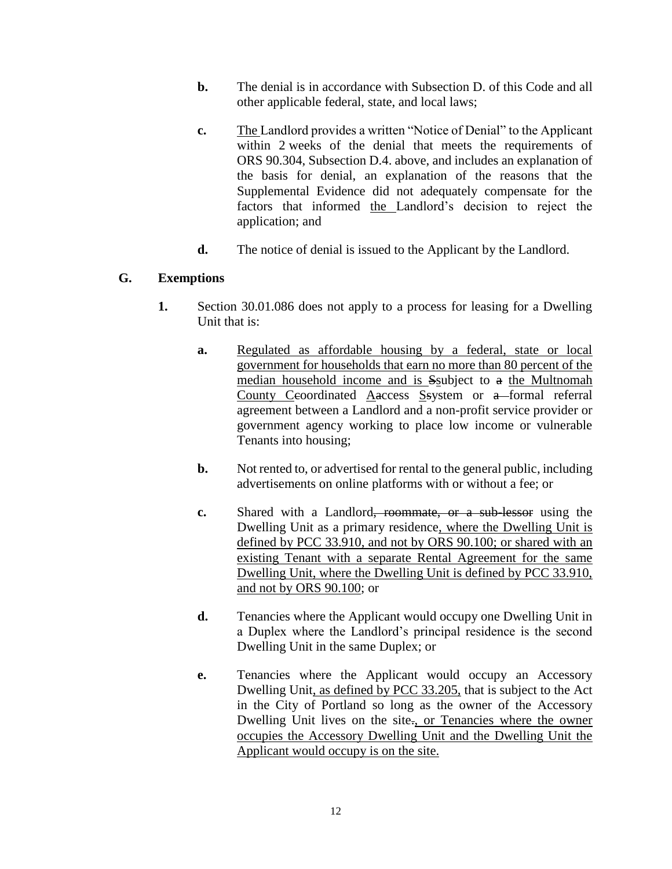- **b.** The denial is in accordance with Subsection D. of this Code and all other applicable federal, state, and local laws;
- **c.** The Landlord provides a written "Notice of Denial" to the Applicant within 2 weeks of the denial that meets the requirements of ORS 90.304, Subsection D.4. above, and includes an explanation of the basis for denial, an explanation of the reasons that the Supplemental Evidence did not adequately compensate for the factors that informed the Landlord's decision to reject the application; and
- **d.** The notice of denial is issued to the Applicant by the Landlord.

## **G. Exemptions**

- **1.** Section 30.01.086 does not apply to a process for leasing for a Dwelling Unit that is:
	- **a.** Regulated as affordable housing by a federal, state or local government for households that earn no more than 80 percent of the median household income and is Ssubject to a the Multnomah County Ceoordinated  $\overline{\text{Aaccess}}$  Ssystem or a formal referral agreement between a Landlord and a non-profit service provider or government agency working to place low income or vulnerable Tenants into housing;
	- **b.** Not rented to, or advertised for rental to the general public, including advertisements on online platforms with or without a fee; or
	- **c.** Shared with a Landlord, roommate, or a sub-lessor using the Dwelling Unit as a primary residence, where the Dwelling Unit is defined by PCC 33.910, and not by ORS 90.100; or shared with an existing Tenant with a separate Rental Agreement for the same Dwelling Unit, where the Dwelling Unit is defined by PCC 33.910, and not by ORS 90.100; or
	- **d.** Tenancies where the Applicant would occupy one Dwelling Unit in a Duplex where the Landlord's principal residence is the second Dwelling Unit in the same Duplex; or
	- **e.** Tenancies where the Applicant would occupy an Accessory Dwelling Unit, as defined by PCC 33.205, that is subject to the Act in the City of Portland so long as the owner of the Accessory Dwelling Unit lives on the site<sub>r</sub>, or Tenancies where the owner occupies the Accessory Dwelling Unit and the Dwelling Unit the Applicant would occupy is on the site.